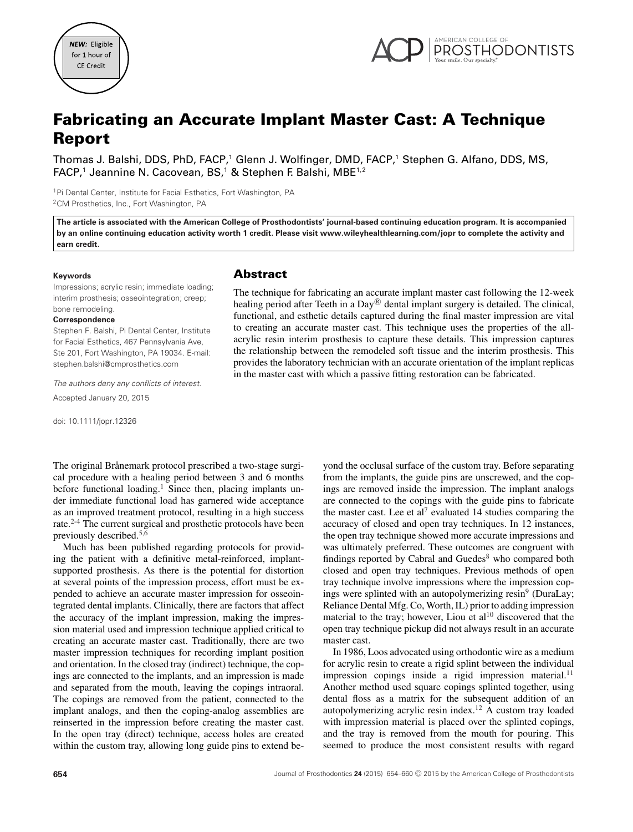



# **Fabricating an Accurate Implant Master Cast: A Technique Report**

Thomas J. Balshi, DDS, PhD, FACP,<sup>1</sup> Glenn J. Wolfinger, DMD, FACP,<sup>1</sup> Stephen G. Alfano, DDS, MS, FACP,<sup>1</sup> Jeannine N. Cacovean, BS,<sup>1</sup> & Stephen F. Balshi, MBE<sup>1,2</sup>

<sup>1</sup>Pi Dental Center, Institute for Facial Esthetics, Fort Washington, PA 2CM Prosthetics, Inc., Fort Washington, PA

**The article is associated with the American College of Prosthodontists' journal-based continuing education program. It is accompanied by an online continuing education activity worth 1 credit. Please visit www.wileyhealthlearning.com/jopr to complete the activity and earn credit.**

#### **Keywords**

Impressions; acrylic resin; immediate loading; interim prosthesis; osseointegration; creep; bone remodeling.

#### **Correspondence**

Stephen F. Balshi, Pi Dental Center, Institute for Facial Esthetics, 467 Pennsylvania Ave, Ste 201, Fort Washington, PA 19034. E-mail: stephen.balshi@cmprosthetics.com

*The authors deny any conflicts of interest*. Accepted January 20, 2015

doi: 10.1111/jopr.12326

#### **Abstract**

The technique for fabricating an accurate implant master cast following the 12-week healing period after Teeth in a  $Day^{(8)}$  dental implant surgery is detailed. The clinical, functional, and esthetic details captured during the final master impression are vital to creating an accurate master cast. This technique uses the properties of the allacrylic resin interim prosthesis to capture these details. This impression captures the relationship between the remodeled soft tissue and the interim prosthesis. This provides the laboratory technician with an accurate orientation of the implant replicas in the master cast with which a passive fitting restoration can be fabricated.

The original Brånemark protocol prescribed a two-stage surgical procedure with a healing period between 3 and 6 months before functional loading.<sup>1</sup> Since then, placing implants under immediate functional load has garnered wide acceptance as an improved treatment protocol, resulting in a high success rate.2-4 The current surgical and prosthetic protocols have been previously described.5,6

Much has been published regarding protocols for providing the patient with a definitive metal-reinforced, implantsupported prosthesis. As there is the potential for distortion at several points of the impression process, effort must be expended to achieve an accurate master impression for osseointegrated dental implants. Clinically, there are factors that affect the accuracy of the implant impression, making the impression material used and impression technique applied critical to creating an accurate master cast. Traditionally, there are two master impression techniques for recording implant position and orientation. In the closed tray (indirect) technique, the copings are connected to the implants, and an impression is made and separated from the mouth, leaving the copings intraoral. The copings are removed from the patient, connected to the implant analogs, and then the coping-analog assemblies are reinserted in the impression before creating the master cast. In the open tray (direct) technique, access holes are created within the custom tray, allowing long guide pins to extend beyond the occlusal surface of the custom tray. Before separating from the implants, the guide pins are unscrewed, and the copings are removed inside the impression. The implant analogs are connected to the copings with the guide pins to fabricate the master cast. Lee et al<sup>7</sup> evaluated 14 studies comparing the accuracy of closed and open tray techniques. In 12 instances, the open tray technique showed more accurate impressions and was ultimately preferred. These outcomes are congruent with findings reported by Cabral and Guedes<sup>8</sup> who compared both closed and open tray techniques. Previous methods of open tray technique involve impressions where the impression copings were splinted with an autopolymerizing resin<sup>9</sup> (DuraLay; Reliance Dental Mfg. Co, Worth, IL) prior to adding impression material to the tray; however, Liou et  $al<sup>10</sup>$  discovered that the open tray technique pickup did not always result in an accurate master cast.

In 1986, Loos advocated using orthodontic wire as a medium for acrylic resin to create a rigid splint between the individual impression copings inside a rigid impression material.<sup>11</sup> Another method used square copings splinted together, using dental floss as a matrix for the subsequent addition of an autopolymerizing acrylic resin index.12 A custom tray loaded with impression material is placed over the splinted copings, and the tray is removed from the mouth for pouring. This seemed to produce the most consistent results with regard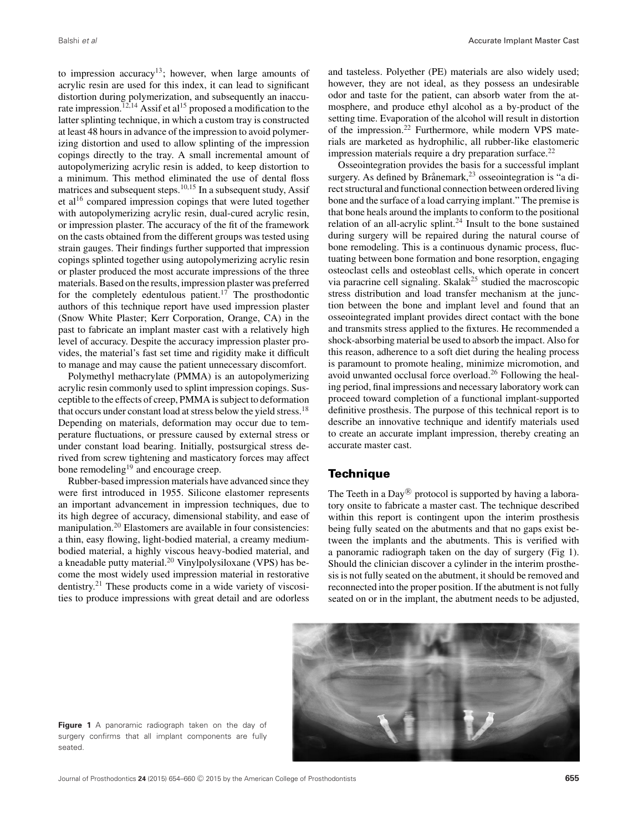to impression accuracy<sup>13</sup>; however, when large amounts of acrylic resin are used for this index, it can lead to significant distortion during polymerization, and subsequently an inaccurate impression.<sup>12,14</sup> Assif et al<sup>15</sup> proposed a modification to the latter splinting technique, in which a custom tray is constructed at least 48 hours in advance of the impression to avoid polymerizing distortion and used to allow splinting of the impression copings directly to the tray. A small incremental amount of autopolymerizing acrylic resin is added, to keep distortion to a minimum. This method eliminated the use of dental floss matrices and subsequent steps.<sup>10,15</sup> In a subsequent study, Assif et al16 compared impression copings that were luted together with autopolymerizing acrylic resin, dual-cured acrylic resin, or impression plaster. The accuracy of the fit of the framework on the casts obtained from the different groups was tested using strain gauges. Their findings further supported that impression copings splinted together using autopolymerizing acrylic resin or plaster produced the most accurate impressions of the three materials. Based on the results, impression plaster was preferred for the completely edentulous patient.<sup>17</sup> The prosthodontic authors of this technique report have used impression plaster (Snow White Plaster; Kerr Corporation, Orange, CA) in the past to fabricate an implant master cast with a relatively high level of accuracy. Despite the accuracy impression plaster provides, the material's fast set time and rigidity make it difficult to manage and may cause the patient unnecessary discomfort.

Polymethyl methacrylate (PMMA) is an autopolymerizing acrylic resin commonly used to splint impression copings. Susceptible to the effects of creep, PMMA is subject to deformation that occurs under constant load at stress below the yield stress.<sup>18</sup> Depending on materials, deformation may occur due to temperature fluctuations, or pressure caused by external stress or under constant load bearing. Initially, postsurgical stress derived from screw tightening and masticatory forces may affect bone remodeling<sup>19</sup> and encourage creep.

Rubber-based impression materials have advanced since they were first introduced in 1955. Silicone elastomer represents an important advancement in impression techniques, due to its high degree of accuracy, dimensional stability, and ease of manipulation.20 Elastomers are available in four consistencies: a thin, easy flowing, light-bodied material, a creamy mediumbodied material, a highly viscous heavy-bodied material, and a kneadable putty material.<sup>20</sup> Vinylpolysiloxane (VPS) has become the most widely used impression material in restorative dentistry.<sup>21</sup> These products come in a wide variety of viscosities to produce impressions with great detail and are odorless and tasteless. Polyether (PE) materials are also widely used; however, they are not ideal, as they possess an undesirable odor and taste for the patient, can absorb water from the atmosphere, and produce ethyl alcohol as a by-product of the setting time. Evaporation of the alcohol will result in distortion of the impression.<sup>22</sup> Furthermore, while modern VPS materials are marketed as hydrophilic, all rubber-like elastomeric impression materials require a dry preparation surface. $22$ 

Osseointegration provides the basis for a successful implant surgery. As defined by Brånemark,  $^{23}$  osseointegration is "a direct structural and functional connection between ordered living bone and the surface of a load carrying implant." The premise is that bone heals around the implants to conform to the positional relation of an all-acrylic splint.<sup>24</sup> Insult to the bone sustained during surgery will be repaired during the natural course of bone remodeling. This is a continuous dynamic process, fluctuating between bone formation and bone resorption, engaging osteoclast cells and osteoblast cells, which operate in concert via paracrine cell signaling. Skalak<sup>25</sup> studied the macroscopic stress distribution and load transfer mechanism at the junction between the bone and implant level and found that an osseointegrated implant provides direct contact with the bone and transmits stress applied to the fixtures. He recommended a shock-absorbing material be used to absorb the impact. Also for this reason, adherence to a soft diet during the healing process is paramount to promote healing, minimize micromotion, and avoid unwanted occlusal force overload.<sup>26</sup> Following the healing period, final impressions and necessary laboratory work can proceed toward completion of a functional implant-supported definitive prosthesis. The purpose of this technical report is to describe an innovative technique and identify materials used to create an accurate implant impression, thereby creating an accurate master cast.

### **Technique**

The Teeth in a Day $\mathbb{R}^3$  protocol is supported by having a laboratory onsite to fabricate a master cast. The technique described within this report is contingent upon the interim prosthesis being fully seated on the abutments and that no gaps exist between the implants and the abutments. This is verified with a panoramic radiograph taken on the day of surgery (Fig 1). Should the clinician discover a cylinder in the interim prosthesis is not fully seated on the abutment, it should be removed and reconnected into the proper position. If the abutment is not fully seated on or in the implant, the abutment needs to be adjusted,



**Figure 1** A panoramic radiograph taken on the day of surgery confirms that all implant components are fully seated.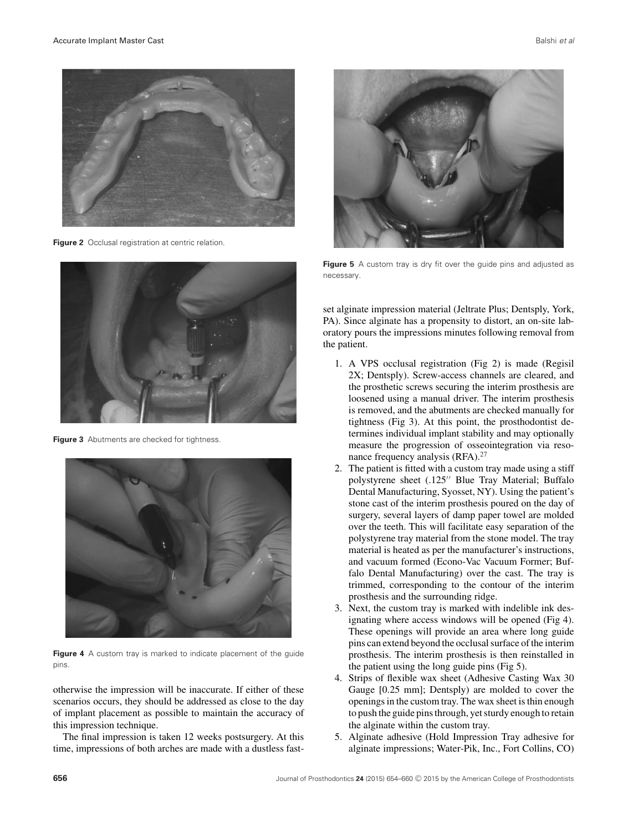

**Figure 2** Occlusal registration at centric relation.



**Figure 3** Abutments are checked for tightness.



**Figure 4** A custom tray is marked to indicate placement of the guide pins.

otherwise the impression will be inaccurate. If either of these scenarios occurs, they should be addressed as close to the day of implant placement as possible to maintain the accuracy of this impression technique.

The final impression is taken 12 weeks postsurgery. At this time, impressions of both arches are made with a dustless fast-



**Figure 5** A custom tray is dry fit over the quide pins and adjusted as necessary.

set alginate impression material (Jeltrate Plus; Dentsply, York, PA). Since alginate has a propensity to distort, an on-site laboratory pours the impressions minutes following removal from the patient.

- 1. A VPS occlusal registration (Fig 2) is made (Regisil 2X; Dentsply). Screw-access channels are cleared, and the prosthetic screws securing the interim prosthesis are loosened using a manual driver. The interim prosthesis is removed, and the abutments are checked manually for tightness (Fig 3). At this point, the prosthodontist determines individual implant stability and may optionally measure the progression of osseointegration via resonance frequency analysis (RFA).<sup>27</sup>
- 2. The patient is fitted with a custom tray made using a stiff polystyrene sheet (.125" Blue Tray Material; Buffalo Dental Manufacturing, Syosset, NY). Using the patient's stone cast of the interim prosthesis poured on the day of surgery, several layers of damp paper towel are molded over the teeth. This will facilitate easy separation of the polystyrene tray material from the stone model. The tray material is heated as per the manufacturer's instructions, and vacuum formed (Econo-Vac Vacuum Former; Buffalo Dental Manufacturing) over the cast. The tray is trimmed, corresponding to the contour of the interim prosthesis and the surrounding ridge.
- 3. Next, the custom tray is marked with indelible ink designating where access windows will be opened (Fig 4). These openings will provide an area where long guide pins can extend beyond the occlusal surface of the interim prosthesis. The interim prosthesis is then reinstalled in the patient using the long guide pins (Fig 5).
- 4. Strips of flexible wax sheet (Adhesive Casting Wax 30 Gauge [0.25 mm]; Dentsply) are molded to cover the openings in the custom tray. The wax sheet is thin enough to push the guide pins through, yet sturdy enough to retain the alginate within the custom tray.
- 5. Alginate adhesive (Hold Impression Tray adhesive for alginate impressions; Water-Pik, Inc., Fort Collins, CO)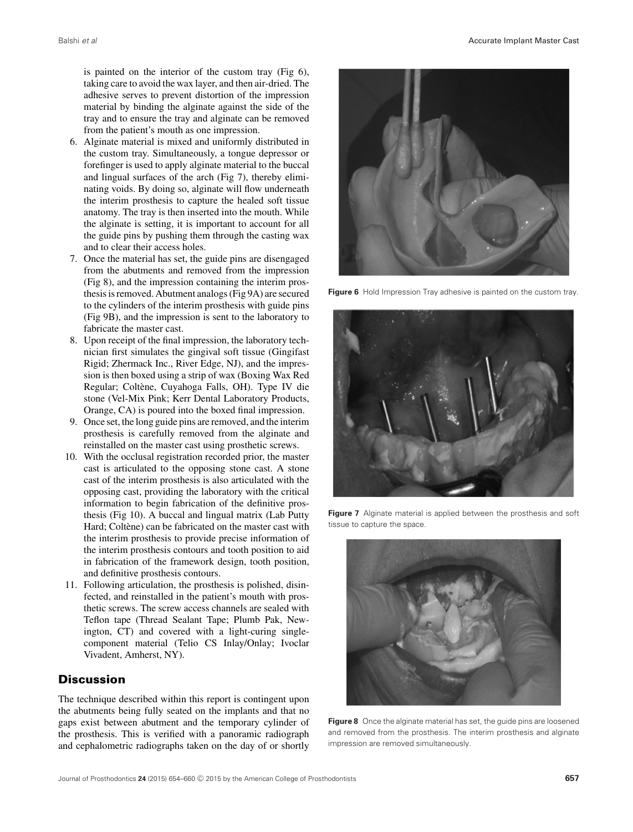is painted on the interior of the custom tray (Fig 6), taking care to avoid the wax layer, and then air-dried. The adhesive serves to prevent distortion of the impression material by binding the alginate against the side of the tray and to ensure the tray and alginate can be removed from the patient's mouth as one impression.

- 6. Alginate material is mixed and uniformly distributed in the custom tray. Simultaneously, a tongue depressor or forefinger is used to apply alginate material to the buccal and lingual surfaces of the arch (Fig 7), thereby eliminating voids. By doing so, alginate will flow underneath the interim prosthesis to capture the healed soft tissue anatomy. The tray is then inserted into the mouth. While the alginate is setting, it is important to account for all the guide pins by pushing them through the casting wax and to clear their access holes.
- 7. Once the material has set, the guide pins are disengaged from the abutments and removed from the impression (Fig 8), and the impression containing the interim prosthesis is removed. Abutment analogs (Fig 9A) are secured to the cylinders of the interim prosthesis with guide pins (Fig 9B), and the impression is sent to the laboratory to fabricate the master cast.
- 8. Upon receipt of the final impression, the laboratory technician first simulates the gingival soft tissue (Gingifast Rigid; Zhermack Inc., River Edge, NJ), and the impression is then boxed using a strip of wax (Boxing Wax Red Regular; Coltène, Cuyahoga Falls, OH). Type IV die stone (Vel-Mix Pink; Kerr Dental Laboratory Products, Orange, CA) is poured into the boxed final impression.
- 9. Once set, the long guide pins are removed, and the interim prosthesis is carefully removed from the alginate and reinstalled on the master cast using prosthetic screws.
- 10. With the occlusal registration recorded prior, the master cast is articulated to the opposing stone cast. A stone cast of the interim prosthesis is also articulated with the opposing cast, providing the laboratory with the critical information to begin fabrication of the definitive prosthesis (Fig 10). A buccal and lingual matrix (Lab Putty Hard; Coltène) can be fabricated on the master cast with the interim prosthesis to provide precise information of the interim prosthesis contours and tooth position to aid in fabrication of the framework design, tooth position, and definitive prosthesis contours.
- 11. Following articulation, the prosthesis is polished, disinfected, and reinstalled in the patient's mouth with prosthetic screws. The screw access channels are sealed with Teflon tape (Thread Sealant Tape; Plumb Pak, Newington, CT) and covered with a light-curing singlecomponent material (Telio CS Inlay/Onlay; Ivoclar Vivadent, Amherst, NY).

## **Discussion**

The technique described within this report is contingent upon the abutments being fully seated on the implants and that no gaps exist between abutment and the temporary cylinder of the prosthesis. This is verified with a panoramic radiograph and cephalometric radiographs taken on the day of or shortly



**Figure 6** Hold Impression Tray adhesive is painted on the custom tray.



**Figure 7** Alginate material is applied between the prosthesis and soft tissue to capture the space.



**Figure 8** Once the alginate material has set, the guide pins are loosened and removed from the prosthesis. The interim prosthesis and alginate impression are removed simultaneously.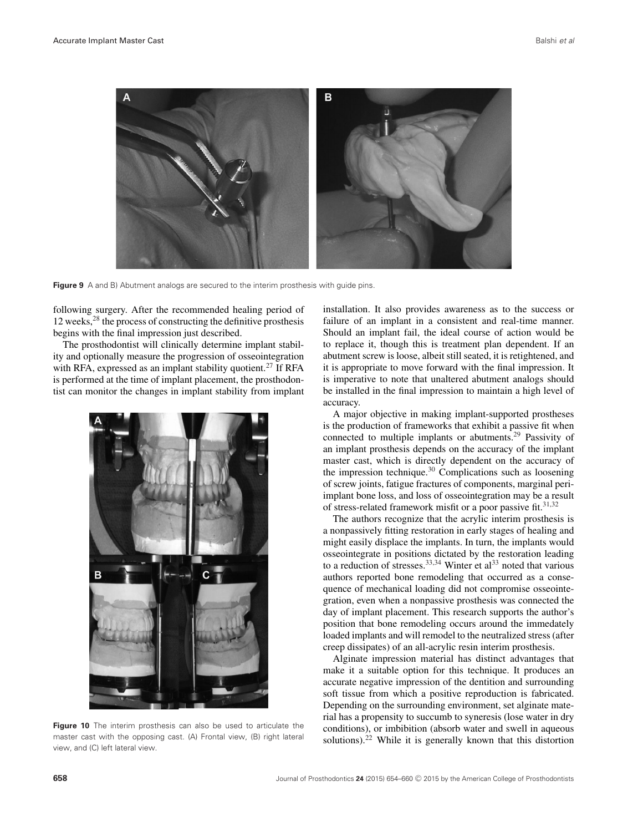

**Figure 9** A and B) Abutment analogs are secured to the interim prosthesis with quide pins.

following surgery. After the recommended healing period of 12 weeks,28 the process of constructing the definitive prosthesis begins with the final impression just described.

The prosthodontist will clinically determine implant stability and optionally measure the progression of osseointegration with RFA, expressed as an implant stability quotient.<sup>27</sup> If RFA is performed at the time of implant placement, the prosthodontist can monitor the changes in implant stability from implant



**Figure 10** The interim prosthesis can also be used to articulate the master cast with the opposing cast. (A) Frontal view, (B) right lateral view, and (C) left lateral view.

installation. It also provides awareness as to the success or failure of an implant in a consistent and real-time manner. Should an implant fail, the ideal course of action would be to replace it, though this is treatment plan dependent. If an abutment screw is loose, albeit still seated, it is retightened, and it is appropriate to move forward with the final impression. It is imperative to note that unaltered abutment analogs should be installed in the final impression to maintain a high level of accuracy.

A major objective in making implant-supported prostheses is the production of frameworks that exhibit a passive fit when connected to multiple implants or abutments.29 Passivity of an implant prosthesis depends on the accuracy of the implant master cast, which is directly dependent on the accuracy of the impression technique. $30$  Complications such as loosening of screw joints, fatigue fractures of components, marginal periimplant bone loss, and loss of osseointegration may be a result of stress-related framework misfit or a poor passive fit.<sup>31,32</sup>

The authors recognize that the acrylic interim prosthesis is a nonpassively fitting restoration in early stages of healing and might easily displace the implants. In turn, the implants would osseointegrate in positions dictated by the restoration leading to a reduction of stresses.  $33,34$  Winter et al.  $33$  noted that various authors reported bone remodeling that occurred as a consequence of mechanical loading did not compromise osseointegration, even when a nonpassive prosthesis was connected the day of implant placement. This research supports the author's position that bone remodeling occurs around the immedately loaded implants and will remodel to the neutralized stress (after creep dissipates) of an all-acrylic resin interim prosthesis.

Alginate impression material has distinct advantages that make it a suitable option for this technique. It produces an accurate negative impression of the dentition and surrounding soft tissue from which a positive reproduction is fabricated. Depending on the surrounding environment, set alginate material has a propensity to succumb to syneresis (lose water in dry conditions), or imbibition (absorb water and swell in aqueous solutions).<sup>22</sup> While it is generally known that this distortion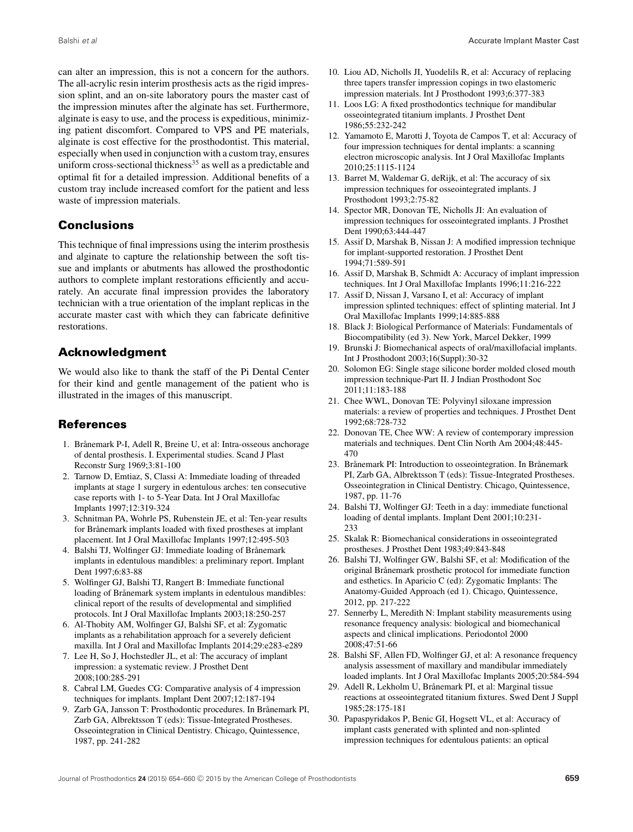can alter an impression, this is not a concern for the authors. The all-acrylic resin interim prosthesis acts as the rigid impression splint, and an on-site laboratory pours the master cast of the impression minutes after the alginate has set. Furthermore, alginate is easy to use, and the process is expeditious, minimizing patient discomfort. Compared to VPS and PE materials, alginate is cost effective for the prosthodontist. This material, especially when used in conjunction with a custom tray, ensures uniform cross-sectional thickness<sup>35</sup> as well as a predictable and optimal fit for a detailed impression. Additional benefits of a custom tray include increased comfort for the patient and less waste of impression materials.

# **Conclusions**

This technique of final impressions using the interim prosthesis and alginate to capture the relationship between the soft tissue and implants or abutments has allowed the prosthodontic authors to complete implant restorations efficiently and accurately. An accurate final impression provides the laboratory technician with a true orientation of the implant replicas in the accurate master cast with which they can fabricate definitive restorations.

# **Acknowledgment**

We would also like to thank the staff of the Pi Dental Center for their kind and gentle management of the patient who is illustrated in the images of this manuscript.

# **References**

- 1. Brånemark P-I, Adell R, Breine U, et al: Intra-osseous anchorage of dental prosthesis. I. Experimental studies. Scand J Plast Reconstr Surg 1969;3:81-100
- 2. Tarnow D, Emtiaz, S, Classi A: Immediate loading of threaded implants at stage 1 surgery in edentulous arches: ten consecutive case reports with 1- to 5-Year Data. Int J Oral Maxillofac Implants 1997;12:319-324
- 3. Schnitman PA, Wohrle PS, Rubenstein JE, et al: Ten-year results for Brånemark implants loaded with fixed prostheses at implant placement. Int J Oral Maxillofac Implants 1997;12:495-503
- 4. Balshi TJ, Wolfinger GJ: Immediate loading of Brånemark implants in edentulous mandibles: a preliminary report. Implant Dent 1997;6:83-88
- 5. Wolfinger GJ, Balshi TJ, Rangert B: Immediate functional loading of Brånemark system implants in edentulous mandibles: clinical report of the results of developmental and simplified protocols. Int J Oral Maxillofac Implants 2003;18:250-257
- 6. Al-Thobity AM, Wolfinger GJ, Balshi SF, et al: Zygomatic implants as a rehabilitation approach for a severely deficient maxilla. Int J Oral and Maxillofac Implants 2014;29:e283-e289
- 7. Lee H, So J, Hochstedler JL, et al: The accuracy of implant impression: a systematic review. J Prosthet Dent 2008;100:285-291
- 8. Cabral LM, Guedes CG: Comparative analysis of 4 impression techniques for implants. Implant Dent 2007;12:187-194
- 9. Zarb GA, Jansson T: Prosthodontic procedures. In Brånemark PI, Zarb GA, Albrektsson T (eds): Tissue-Integrated Prostheses. Osseointegration in Clinical Dentistry. Chicago, Quintessence, 1987, pp. 241-282
- 10. Liou AD, Nicholls JI, Yuodelils R, et al: Accuracy of replacing three tapers transfer impression copings in two elastomeric impression materials. Int J Prosthodont 1993;6:377-383
- 11. Loos LG: A fixed prosthodontics technique for mandibular osseointegrated titanium implants. J Prosthet Dent 1986;55:232-242
- 12. Yamamoto E, Marotti J, Toyota de Campos T, et al: Accuracy of four impression techniques for dental implants: a scanning electron microscopic analysis. Int J Oral Maxillofac Implants 2010;25:1115-1124
- 13. Barret M, Waldemar G, deRijk, et al: The accuracy of six impression techniques for osseointegrated implants. J Prosthodont 1993;2:75-82
- 14. Spector MR, Donovan TE, Nicholls JI: An evaluation of impression techniques for osseointegrated implants. J Prosthet Dent 1990;63:444-447
- 15. Assif D, Marshak B, Nissan J: A modified impression technique for implant-supported restoration. J Prosthet Dent 1994;71:589-591
- 16. Assif D, Marshak B, Schmidt A: Accuracy of implant impression techniques. Int J Oral Maxillofac Implants 1996;11:216-222
- 17. Assif D, Nissan J, Varsano I, et al: Accuracy of implant impression splinted techniques: effect of splinting material. Int J Oral Maxillofac Implants 1999;14:885-888
- 18. Black J: Biological Performance of Materials: Fundamentals of Biocompatibility (ed 3). New York, Marcel Dekker, 1999
- 19. Brunski J: Biomechanical aspects of oral/maxillofacial implants. Int J Prosthodont 2003;16(Suppl):30-32
- 20. Solomon EG: Single stage silicone border molded closed mouth impression technique-Part II. J Indian Prosthodont Soc 2011;11:183-188
- 21. Chee WWL, Donovan TE: Polyvinyl siloxane impression materials: a review of properties and techniques. J Prosthet Dent 1992;68:728-732
- 22. Donovan TE, Chee WW: A review of contemporary impression materials and techniques. Dent Clin North Am 2004;48:445- 470
- 23. Brånemark PI: Introduction to osseointegration. In Brånemark PI, Zarb GA, Albrektsson T (eds): Tissue-Integrated Prostheses. Osseointegration in Clinical Dentistry. Chicago, Quintessence, 1987, pp. 11-76
- 24. Balshi TJ, Wolfinger GJ: Teeth in a day: immediate functional loading of dental implants. Implant Dent 2001;10:231- 233
- 25. Skalak R: Biomechanical considerations in osseointegrated prostheses. J Prosthet Dent 1983;49:843-848
- 26. Balshi TJ, Wolfinger GW, Balshi SF, et al: Modification of the original Brånemark prosthetic protocol for immediate function and esthetics. In Aparicio C (ed): Zygomatic Implants: The Anatomy-Guided Approach (ed 1). Chicago, Quintessence, 2012, pp. 217-222
- 27. Sennerby L, Meredith N: Implant stability measurements using resonance frequency analysis: biological and biomechanical aspects and clinical implications. Periodontol 2000 2008;47:51-66
- 28. Balshi SF, Allen FD, Wolfinger GJ, et al: A resonance frequency analysis assessment of maxillary and mandibular immediately loaded implants. Int J Oral Maxillofac Implants 2005;20:584-594
- 29. Adell R, Lekholm U, Brånemark PI, et al: Marginal tissue reactions at osseointegrated titanium fixtures. Swed Dent J Suppl 1985;28:175-181
- 30. Papaspyridakos P, Benic GI, Hogsett VL, et al: Accuracy of implant casts generated with splinted and non-splinted impression techniques for edentulous patients: an optical